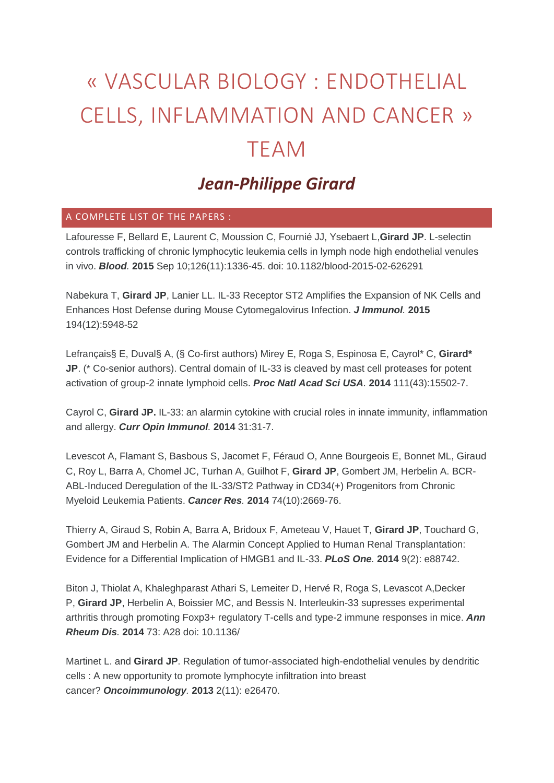## « VASCULAR BIOLOGY : ENDOTHELIAL CELLS, INFLAMMATION AND CANCER » TEAM

## *Jean-Philippe Girard*

## A COMPLETE LIST OF THE PAPERS :

Lafouresse F, Bellard E, Laurent C, Moussion C, Fournié JJ, Ysebaert L,**Girard JP**. L-selectin controls trafficking of chronic lymphocytic leukemia cells in lymph node high endothelial venules in vivo. *Blood.* **2015** Sep 10;126(11):1336-45. doi: 10.1182/blood-2015-02-626291

Nabekura T, **Girard JP**, Lanier LL. IL-33 Receptor ST2 Amplifies the Expansion of NK Cells and Enhances Host Defense during Mouse Cytomegalovirus Infection. *J Immunol.* **2015** 194(12):5948-52

Lefrançais§ E, Duval§ A, (§ Co-first authors) Mirey E, Roga S, Espinosa E, Cayrol\* C, **Girard\* JP**. (\* Co-senior authors). Central domain of IL-33 is cleaved by mast cell proteases for potent activation of group-2 innate lymphoid cells. *Proc Natl Acad Sci USA.* **2014** 111(43):15502-7.

Cayrol C, **Girard JP.** IL-33: an alarmin cytokine with crucial roles in innate immunity, inflammation and allergy. *Curr Opin Immunol.* **2014** 31:31-7.

Levescot A, Flamant S, Basbous S, Jacomet F, Féraud O, Anne Bourgeois E, Bonnet ML, Giraud C, Roy L, Barra A, Chomel JC, Turhan A, Guilhot F, **Girard JP**, Gombert JM, Herbelin A. BCR-ABL-Induced Deregulation of the IL-33/ST2 Pathway in CD34(+) Progenitors from Chronic Myeloid Leukemia Patients. *Cancer Res.* **2014** 74(10):2669-76.

Thierry A, Giraud S, Robin A, Barra A, Bridoux F, Ameteau V, Hauet T, **Girard JP**, Touchard G, Gombert JM and Herbelin A. The Alarmin Concept Applied to Human Renal Transplantation: Evidence for a Differential Implication of HMGB1 and IL-33. *PLoS One.* **2014** 9(2): e88742.

Biton J, Thiolat A, Khaleghparast Athari S, Lemeiter D, Hervé R, Roga S, Levascot A,Decker P, **Girard JP**, Herbelin A, Boissier MC, and Bessis N. Interleukin-33 supresses experimental arthritis through promoting Foxp3+ regulatory T-cells and type-2 immune responses in mice. *Ann Rheum Dis.* **2014** 73: A28 doi: 10.1136/

Martinet L. and **Girard JP**. Regulation of tumor-associated high-endothelial venules by dendritic cells : A new opportunity to promote lymphocyte infiltration into breast cancer? *Oncoimmunology.* **2013** 2(11): e26470.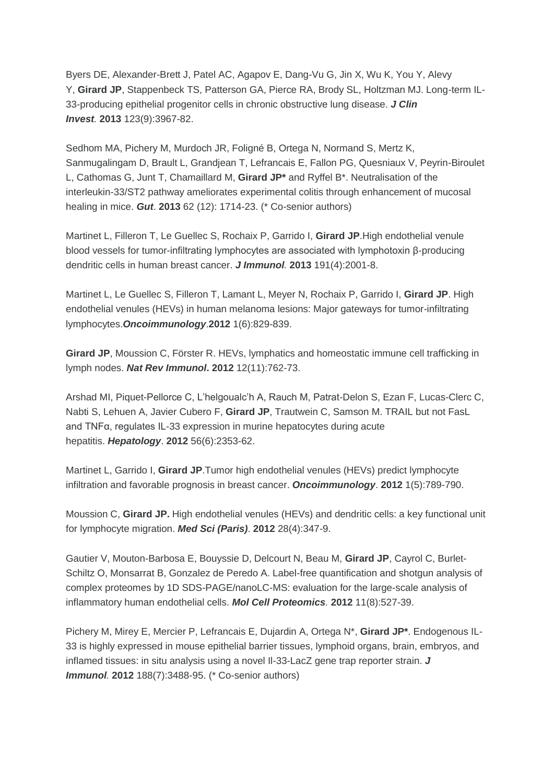Byers DE, Alexander-Brett J, Patel AC, Agapov E, Dang-Vu G, Jin X, Wu K, You Y, Alevy Y, **Girard JP**, Stappenbeck TS, Patterson GA, Pierce RA, Brody SL, Holtzman MJ. Long-term IL-33-producing epithelial progenitor cells in chronic obstructive lung disease. *J Clin Invest.* **2013** 123(9):3967-82.

Sedhom MA, Pichery M, Murdoch JR, Foligné B, Ortega N, Normand S, Mertz K, Sanmugalingam D, Brault L, Grandjean T, Lefrancais E, Fallon PG, Quesniaux V, Peyrin-Biroulet L, Cathomas G, Junt T, Chamaillard M, **Girard JP\*** and Ryffel B\*. Neutralisation of the interleukin-33/ST2 pathway ameliorates experimental colitis through enhancement of mucosal healing in mice. *Gut*. **2013** 62 (12): 1714-23. (\* Co-senior authors)

Martinet L, Filleron T, Le Guellec S, Rochaix P, Garrido I, **Girard JP**.High endothelial venule blood vessels for tumor-infiltrating lymphocytes are associated with lymphotoxin β-producing dendritic cells in human breast cancer. *J Immunol.* **2013** 191(4):2001-8.

Martinet L, Le Guellec S, Filleron T, Lamant L, Meyer N, Rochaix P, Garrido I, **Girard JP**. High endothelial venules (HEVs) in human melanoma lesions: Major gateways for tumor-infiltrating lymphocytes.*Oncoimmunology*.**2012** 1(6):829-839.

**Girard JP**, Moussion C, Förster R. HEVs, lymphatics and homeostatic immune cell trafficking in lymph nodes. *Nat Rev Immunol***. 2012** 12(11):762-73.

Arshad MI, Piquet-Pellorce C, L'helgoualc'h A, Rauch M, Patrat-Delon S, Ezan F, Lucas-Clerc C, Nabti S, Lehuen A, Javier Cubero F, **Girard JP**, Trautwein C, Samson M. TRAIL but not FasL and TNFα, regulates IL-33 expression in murine hepatocytes during acute hepatitis. *Hepatology*. **2012** 56(6):2353-62.

Martinet L, Garrido I, **Girard JP**.Tumor high endothelial venules (HEVs) predict lymphocyte infiltration and favorable prognosis in breast cancer. *Oncoimmunology*. **2012** 1(5):789-790.

Moussion C, **Girard JP.** High endothelial venules (HEVs) and dendritic cells: a key functional unit for lymphocyte migration. *Med Sci (Paris)*. **2012** 28(4):347-9.

Gautier V, Mouton-Barbosa E, Bouyssie D, Delcourt N, Beau M, **Girard JP**, Cayrol C, Burlet-Schiltz O, Monsarrat B, Gonzalez de Peredo A. Label-free quantification and shotgun analysis of complex proteomes by 1D SDS-PAGE/nanoLC-MS: evaluation for the large-scale analysis of inflammatory human endothelial cells. *Mol Cell Proteomics.* **2012** 11(8):527-39.

Pichery M, Mirey E, Mercier P, Lefrancais E, Dujardin A, Ortega N\*, **Girard JP\***. Endogenous IL-33 is highly expressed in mouse epithelial barrier tissues, lymphoid organs, brain, embryos, and inflamed tissues: in situ analysis using a novel Il-33-LacZ gene trap reporter strain. *J Immunol.* **2012** 188(7):3488-95. (\* Co-senior authors)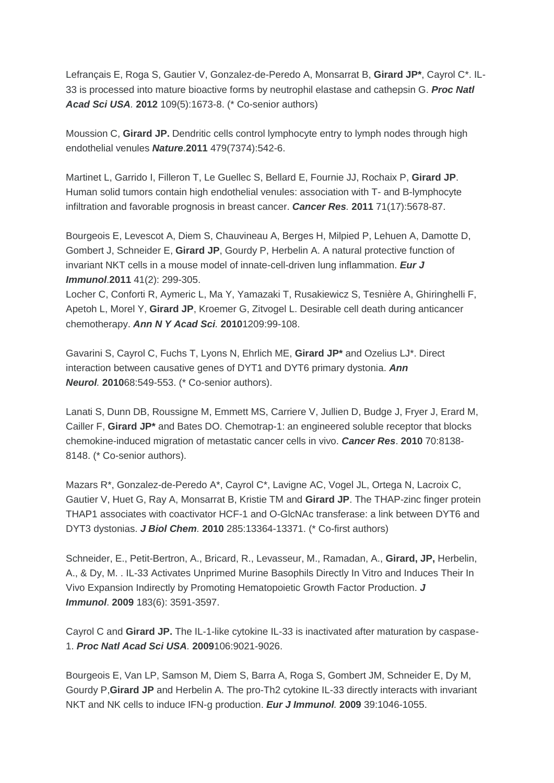Lefrançais E, Roga S, Gautier V, Gonzalez-de-Peredo A, Monsarrat B, **Girard JP\***, Cayrol C\*. IL-33 is processed into mature bioactive forms by neutrophil elastase and cathepsin G. *Proc Natl Acad Sci USA.* **2012** 109(5):1673-8. (\* Co-senior authors)

Moussion C, **Girard JP.** Dendritic cells control lymphocyte entry to lymph nodes through high endothelial venules *Nature*.**2011** 479(7374):542-6.

Martinet L, Garrido I, Filleron T, Le Guellec S, Bellard E, Fournie JJ, Rochaix P, **Girard JP**. Human solid tumors contain high endothelial venules: association with T- and B-lymphocyte infiltration and favorable prognosis in breast cancer. *Cancer Res.* **2011** 71(17):5678-87.

Bourgeois E, Levescot A, Diem S, Chauvineau A, Berges H, Milpied P, Lehuen A, Damotte D, Gombert J, Schneider E, **Girard JP**, Gourdy P, Herbelin A. A natural protective function of invariant NKT cells in a mouse model of innate-cell-driven lung inflammation. *Eur J Immunol*.**2011** 41(2): 299-305.

Locher C, Conforti R, Aymeric L, Ma Y, Yamazaki T, Rusakiewicz S, Tesnière A, Ghiringhelli F, Apetoh L, Morel Y, **Girard JP**, Kroemer G, Zitvogel L. Desirable cell death during anticancer chemotherapy. *Ann N Y Acad Sci.* **2010**1209:99-108.

Gavarini S, Cayrol C, Fuchs T, Lyons N, Ehrlich ME, **Girard JP\*** and Ozelius LJ\*. Direct interaction between causative genes of DYT1 and DYT6 primary dystonia. *Ann Neurol.* **2010**68:549-553. (\* Co-senior authors).

Lanati S, Dunn DB, Roussigne M, Emmett MS, Carriere V, Jullien D, Budge J, Fryer J, Erard M, Cailler F, **Girard JP\*** and Bates DO. Chemotrap-1: an engineered soluble receptor that blocks chemokine-induced migration of metastatic cancer cells in vivo. *Cancer Res*. **2010** 70:8138- 8148. (\* Co-senior authors).

Mazars R\*, Gonzalez-de-Peredo A\*, Cayrol C\*, Lavigne AC, Vogel JL, Ortega N, Lacroix C, Gautier V, Huet G, Ray A, Monsarrat B, Kristie TM and **Girard JP**. The THAP-zinc finger protein THAP1 associates with coactivator HCF-1 and O-GlcNAc transferase: a link between DYT6 and DYT3 dystonias. *J Biol Chem.* **2010** 285:13364-13371. (\* Co-first authors)

Schneider, E., Petit-Bertron, A., Bricard, R., Levasseur, M., Ramadan, A., **Girard, JP,** Herbelin, A., & Dy, M. . IL-33 Activates Unprimed Murine Basophils Directly In Vitro and Induces Their In Vivo Expansion Indirectly by Promoting Hematopoietic Growth Factor Production. *J Immunol*. **2009** 183(6): 3591-3597.

Cayrol C and **Girard JP.** The IL-1-like cytokine IL-33 is inactivated after maturation by caspase-1. *Proc Natl Acad Sci USA.* **2009**106:9021-9026.

Bourgeois E, Van LP, Samson M, Diem S, Barra A, Roga S, Gombert JM, Schneider E, Dy M, Gourdy P,**Girard JP** and Herbelin A. The pro-Th2 cytokine IL-33 directly interacts with invariant NKT and NK cells to induce IFN-g production. *Eur J Immunol.* **2009** 39:1046-1055.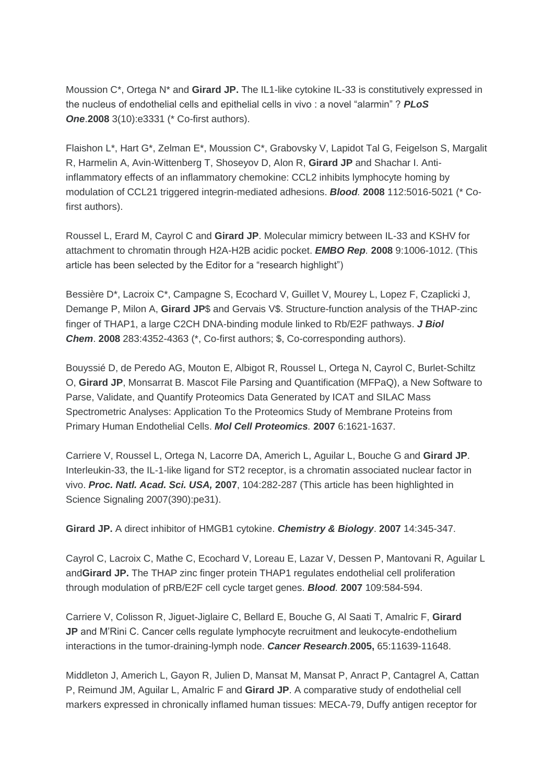Moussion C\*, Ortega N\* and **Girard JP.** The IL1-like cytokine IL-33 is constitutively expressed in the nucleus of endothelial cells and epithelial cells in vivo : a novel "alarmin" ? *PLoS One*.**2008** 3(10):e3331 (\* Co-first authors).

Flaishon L\*, Hart G\*, Zelman E\*, Moussion C\*, Grabovsky V, Lapidot Tal G, Feigelson S, Margalit R, Harmelin A, Avin-Wittenberg T, Shoseyov D, Alon R, **Girard JP** and Shachar I. Antiinflammatory effects of an inflammatory chemokine: CCL2 inhibits lymphocyte homing by modulation of CCL21 triggered integrin-mediated adhesions. *Blood.* **2008** 112:5016-5021 (\* Cofirst authors).

Roussel L, Erard M, Cayrol C and **Girard JP**. Molecular mimicry between IL-33 and KSHV for attachment to chromatin through H2A-H2B acidic pocket. *EMBO Rep.* **2008** 9:1006-1012. (This article has been selected by the Editor for a "research highlight")

Bessière D\*, Lacroix C\*, Campagne S, Ecochard V, Guillet V, Mourey L, Lopez F, Czaplicki J, Demange P, Milon A, **Girard JP**\$ and Gervais V\$. Structure-function analysis of the THAP-zinc finger of THAP1, a large C2CH DNA-binding module linked to Rb/E2F pathways. *J Biol Chem*. **2008** 283:4352-4363 (\*, Co-first authors; \$, Co-corresponding authors).

Bouyssié D, de Peredo AG, Mouton E, Albigot R, Roussel L, Ortega N, Cayrol C, Burlet-Schiltz O, **Girard JP**, Monsarrat B. Mascot File Parsing and Quantification (MFPaQ), a New Software to Parse, Validate, and Quantify Proteomics Data Generated by ICAT and SILAC Mass Spectrometric Analyses: Application To the Proteomics Study of Membrane Proteins from Primary Human Endothelial Cells. *Mol Cell Proteomics.* **2007** 6:1621-1637.

Carriere V, Roussel L, Ortega N, Lacorre DA, Americh L, Aguilar L, Bouche G and **Girard JP**. Interleukin-33, the IL-1-like ligand for ST2 receptor, is a chromatin associated nuclear factor in vivo. *Proc. Natl. Acad. Sci. USA,* **2007**, 104:282-287 (This article has been highlighted in Science Signaling 2007(390):pe31).

**Girard JP.** A direct inhibitor of HMGB1 cytokine. *Chemistry & Biology*. **2007** 14:345-347.

Cayrol C, Lacroix C, Mathe C, Ecochard V, Loreau E, Lazar V, Dessen P, Mantovani R, Aguilar L and**Girard JP.** The THAP zinc finger protein THAP1 regulates endothelial cell proliferation through modulation of pRB/E2F cell cycle target genes. *Blood.* **2007** 109:584-594.

Carriere V, Colisson R, Jiguet-Jiglaire C, Bellard E, Bouche G, Al Saati T, Amalric F, **Girard JP** and M'Rini C. Cancer cells regulate lymphocyte recruitment and leukocyte-endothelium interactions in the tumor-draining-lymph node. *Cancer Research*.**2005,** 65:11639-11648.

Middleton J, Americh L, Gayon R, Julien D, Mansat M, Mansat P, Anract P, Cantagrel A, Cattan P, Reimund JM, Aguilar L, Amalric F and **Girard JP**. A comparative study of endothelial cell markers expressed in chronically inflamed human tissues: MECA-79, Duffy antigen receptor for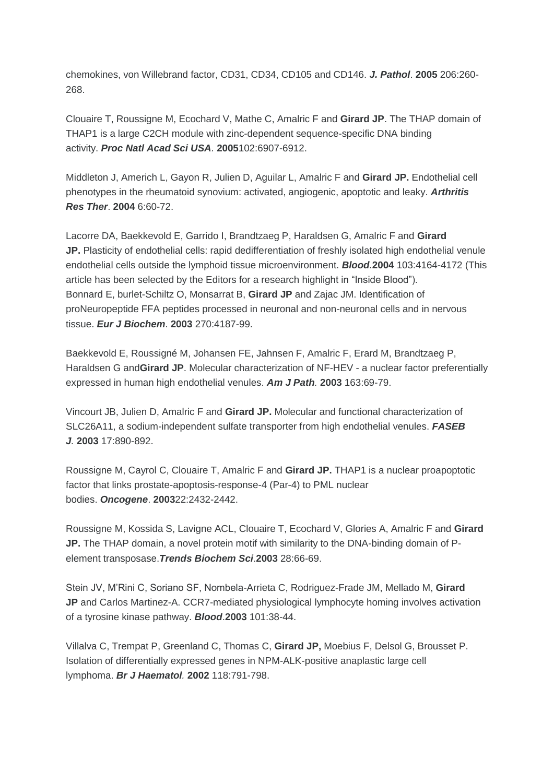chemokines, von Willebrand factor, CD31, CD34, CD105 and CD146. *J. Pathol*. **2005** 206:260- 268.

Clouaire T, Roussigne M, Ecochard V, Mathe C, Amalric F and **Girard JP**. The THAP domain of THAP1 is a large C2CH module with zinc-dependent sequence-specific DNA binding activity. *Proc Natl Acad Sci USA.* **2005**102:6907-6912.

Middleton J, Americh L, Gayon R, Julien D, Aguilar L, Amalric F and **Girard JP.** Endothelial cell phenotypes in the rheumatoid synovium: activated, angiogenic, apoptotic and leaky. *Arthritis Res Ther*. **2004** 6:60-72.

Lacorre DA, Baekkevold E, Garrido I, Brandtzaeg P, Haraldsen G, Amalric F and **Girard JP.** Plasticity of endothelial cells: rapid dedifferentiation of freshly isolated high endothelial venule endothelial cells outside the lymphoid tissue microenvironment. *Blood.***2004** 103:4164-4172 (This article has been selected by the Editors for a research highlight in "Inside Blood"). Bonnard E, burlet-Schiltz O, Monsarrat B, **Girard JP** and Zajac JM. Identification of proNeuropeptide FFA peptides processed in neuronal and non-neuronal cells and in nervous tissue. *Eur J Biochem*. **2003** 270:4187-99.

Baekkevold E, Roussigné M, Johansen FE, Jahnsen F, Amalric F, Erard M, Brandtzaeg P, Haraldsen G and**Girard JP**. Molecular characterization of NF-HEV - a nuclear factor preferentially expressed in human high endothelial venules. *Am J Path.* **2003** 163:69-79.

Vincourt JB, Julien D, Amalric F and **Girard JP.** Molecular and functional characterization of SLC26A11, a sodium-independent sulfate transporter from high endothelial venules. *FASEB J.* **2003** 17:890-892.

Roussigne M, Cayrol C, Clouaire T, Amalric F and **Girard JP.** THAP1 is a nuclear proapoptotic factor that links prostate-apoptosis-response-4 (Par-4) to PML nuclear bodies. *Oncogene*. **2003**22:2432-2442.

Roussigne M, Kossida S, Lavigne ACL, Clouaire T, Ecochard V, Glories A, Amalric F and **Girard JP.** The THAP domain, a novel protein motif with similarity to the DNA-binding domain of Pelement transposase.*Trends Biochem Sci*.**2003** 28:66-69.

Stein JV, M'Rini C, Soriano SF, Nombela-Arrieta C, Rodriguez-Frade JM, Mellado M, **Girard JP** and Carlos Martinez-A. CCR7-mediated physiological lymphocyte homing involves activation of a tyrosine kinase pathway. *Blood*.**2003** 101:38-44.

Villalva C, Trempat P, Greenland C, Thomas C, **Girard JP,** Moebius F, Delsol G, Brousset P. Isolation of differentially expressed genes in NPM-ALK-positive anaplastic large cell lymphoma. *Br J Haematol.* **2002** 118:791-798.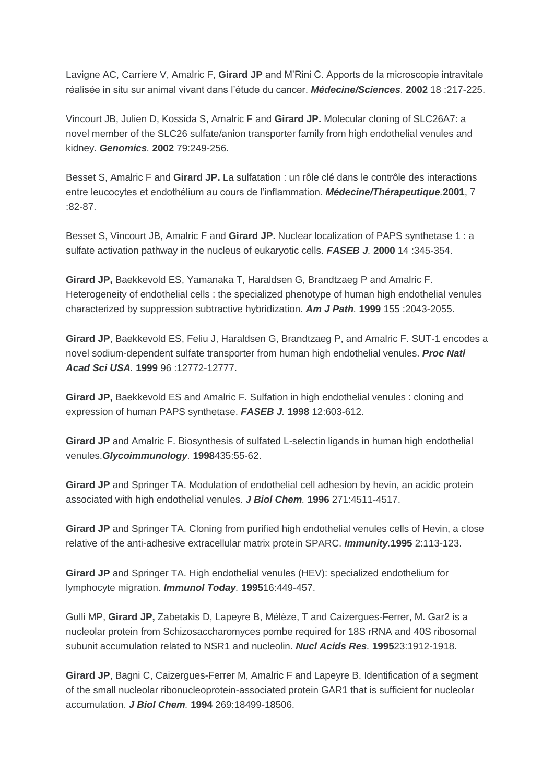Lavigne AC, Carriere V, Amalric F, **Girard JP** and M'Rini C. Apports de la microscopie intravitale réalisée in situ sur animal vivant dans l'étude du cancer. *Médecine/Sciences.* **2002** 18 :217-225.

Vincourt JB, Julien D, Kossida S, Amalric F and **Girard JP.** Molecular cloning of SLC26A7: a novel member of the SLC26 sulfate/anion transporter family from high endothelial venules and kidney. *Genomics.* **2002** 79:249-256.

Besset S, Amalric F and **Girard JP.** La sulfatation : un rôle clé dans le contrôle des interactions entre leucocytes et endothélium au cours de l'inflammation. *Médecine/Thérapeutique.***2001**, 7 :82-87.

Besset S, Vincourt JB, Amalric F and **Girard JP.** Nuclear localization of PAPS synthetase 1 : a sulfate activation pathway in the nucleus of eukaryotic cells. *FASEB J.* **2000** 14 :345-354.

**Girard JP,** Baekkevold ES, Yamanaka T, Haraldsen G, Brandtzaeg P and Amalric F. Heterogeneity of endothelial cells : the specialized phenotype of human high endothelial venules characterized by suppression subtractive hybridization. *Am J Path.* **1999** 155 :2043-2055.

**Girard JP**, Baekkevold ES, Feliu J, Haraldsen G, Brandtzaeg P, and Amalric F. SUT-1 encodes a novel sodium-dependent sulfate transporter from human high endothelial venules. *Proc Natl Acad Sci USA.* **1999** 96 :12772-12777.

**Girard JP,** Baekkevold ES and Amalric F. Sulfation in high endothelial venules : cloning and expression of human PAPS synthetase. *FASEB J.* **1998** 12:603-612.

**Girard JP** and Amalric F. Biosynthesis of sulfated L-selectin ligands in human high endothelial venules.*Glycoimmunology.* **1998**435:55-62.

**Girard JP** and Springer TA. Modulation of endothelial cell adhesion by hevin, an acidic protein associated with high endothelial venules. *J Biol Chem.* **1996** 271:4511-4517.

**Girard JP** and Springer TA. Cloning from purified high endothelial venules cells of Hevin, a close relative of the anti-adhesive extracellular matrix protein SPARC. *Immunity.***1995** 2:113-123.

**Girard JP** and Springer TA. High endothelial venules (HEV): specialized endothelium for lymphocyte migration. *Immunol Today.* **1995**16:449-457.

Gulli MP, **Girard JP,** Zabetakis D, Lapeyre B, Mélèze, T and Caizergues-Ferrer, M. Gar2 is a nucleolar protein from Schizosaccharomyces pombe required for 18S rRNA and 40S ribosomal subunit accumulation related to NSR1 and nucleolin. *Nucl Acids Res.* **1995**23:1912-1918.

**Girard JP**, Bagni C, Caizergues-Ferrer M, Amalric F and Lapeyre B. Identification of a segment of the small nucleolar ribonucleoprotein-associated protein GAR1 that is sufficient for nucleolar accumulation. *J Biol Chem.* **1994** 269:18499-18506.